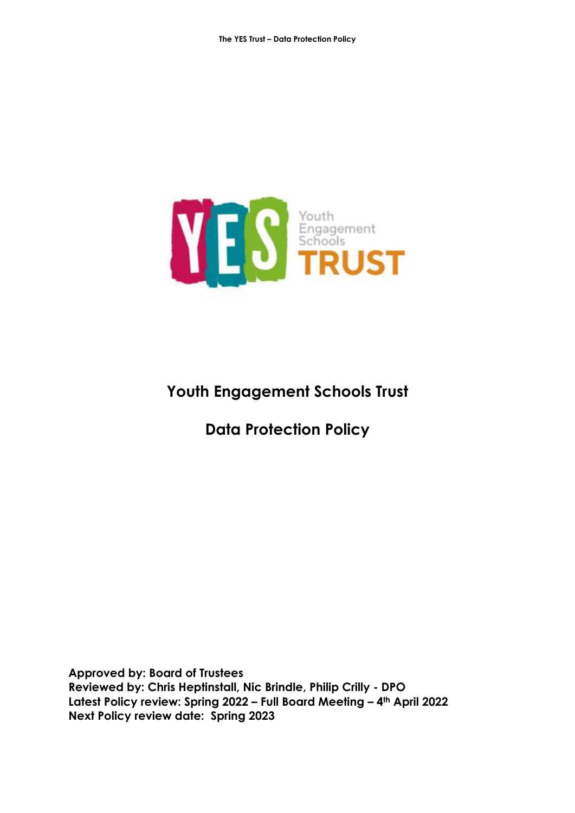

# **Youth Engagement Schools Trust**

**Data Protection Policy**

**Approved by: Board of Trustees Reviewed by: Chris Heptinstall, Nic Brindle, Philip Crilly - DPO Latest Policy review: Spring 2022 – Full Board Meeting – 4th April 2022 Next Policy review date: Spring 2023**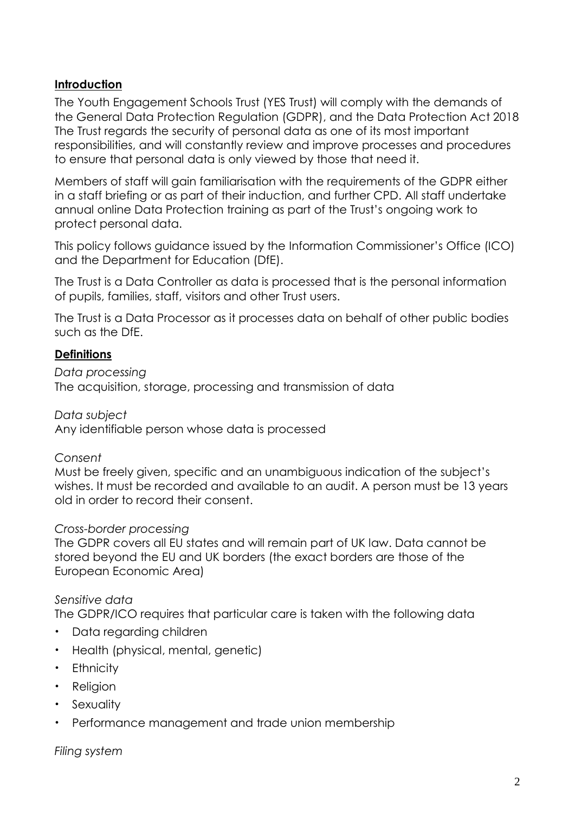## **Introduction**

The Youth Engagement Schools Trust (YES Trust) will comply with the demands of the General Data Protection Regulation (GDPR), and the Data Protection Act 2018 The Trust regards the security of personal data as one of its most important responsibilities, and will constantly review and improve processes and procedures to ensure that personal data is only viewed by those that need it.

Members of staff will gain familiarisation with the requirements of the GDPR either in a staff briefing or as part of their induction, and further CPD. All staff undertake annual online Data Protection training as part of the Trust's ongoing work to protect personal data.

This policy follows guidance issued by the Information Commissioner's Office (ICO) and the Department for Education (DfE).

The Trust is a Data Controller as data is processed that is the personal information of pupils, families, staff, visitors and other Trust users.

The Trust is a Data Processor as it processes data on behalf of other public bodies such as the DfE.

### **Definitions**

*Data processing* The acquisition, storage, processing and transmission of data

*Data subject* Any identifiable person whose data is processed

#### *Consent*

Must be freely given, specific and an unambiguous indication of the subject's wishes. It must be recorded and available to an audit. A person must be 13 years old in order to record their consent.

#### *Cross-border processing*

The GDPR covers all EU states and will remain part of UK law. Data cannot be stored beyond the EU and UK borders (the exact borders are those of the European Economic Area)

## *Sensitive data*

The GDPR/ICO requires that particular care is taken with the following data

- Data regarding children
- Health (physical, mental, genetic)
- Ethnicity
- Religion
- Sexuality
- Performance management and trade union membership

*Filing system*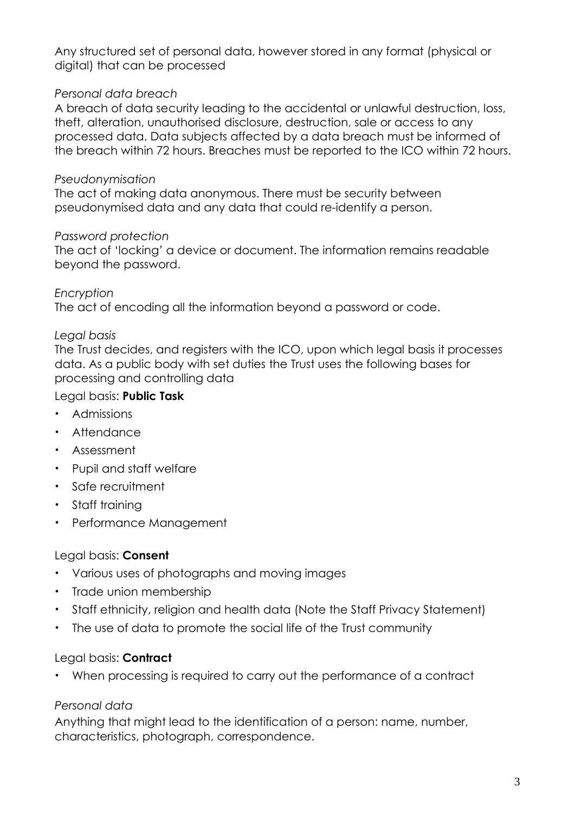Any structured set of personal data, however stored in any format (physical or digital) that can be processed

#### *Personal data breach*

A breach of data security leading to the accidental or unlawful destruction, loss, theft, alteration, unauthorised disclosure, destruction, sale or access to any processed data. Data subjects affected by a data breach must be informed of the breach within 72 hours. Breaches must be reported to the ICO within 72 hours.

#### *Pseudonymisation*

The act of making data anonymous. There must be security between pseudonymised data and any data that could re-identify a person.

#### *Password protection*

The act of 'locking' a device or document. The information remains readable beyond the password.

### *Encryption*

The act of encoding all the information beyond a password or code.

### *Legal basis*

The Trust decides, and registers with the ICO, upon which legal basis it processes data. As a public body with set duties the Trust uses the following bases for processing and controlling data

### Legal basis: **Public Task**

- Admissions
- Attendance
- Assessment
- Pupil and staff welfare
- Safe recruitment
- Staff training
- Performance Management

## Legal basis: **Consent**

- Various uses of photographs and moving images
- Trade union membership
- Staff ethnicity, religion and health data (Note the Staff Privacy Statement)
- The use of data to promote the social life of the Trust community

#### Legal basis: **Contract**

• When processing is required to carry out the performance of a contract

## *Personal data*

Anything that might lead to the identification of a person: name, number, characteristics, photograph, correspondence.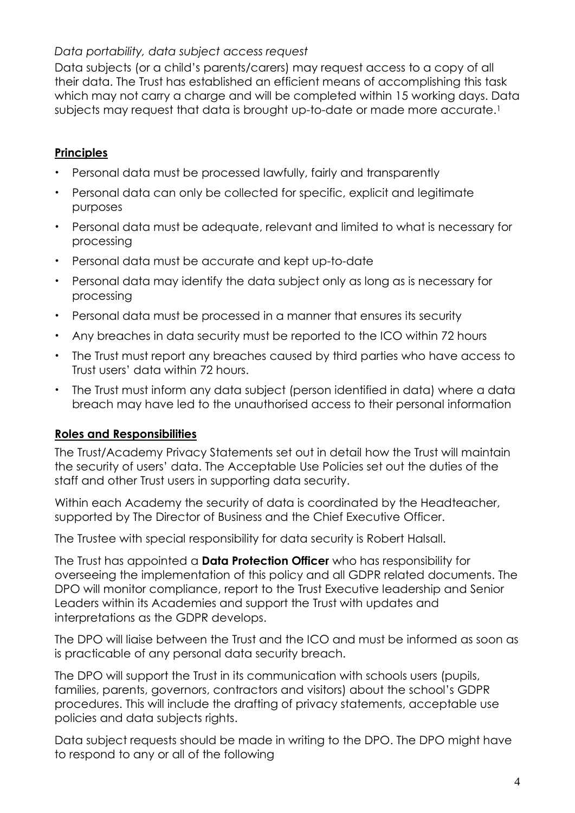## *Data portability, data subject access request*

Data subjects (or a child's parents/carers) may request access to a copy of all their data. The Trust has established an efficient means of accomplishing this task which may not carry a charge and will be completed within 15 working days. Data subjects may request that data is brought up-to-date or made more accurate.<sup>1</sup>

# **Principles**

- Personal data must be processed lawfully, fairly and transparently
- Personal data can only be collected for specific, explicit and legitimate purposes
- Personal data must be adequate, relevant and limited to what is necessary for processing
- Personal data must be accurate and kept up-to-date
- Personal data may identify the data subject only as long as is necessary for processing
- Personal data must be processed in a manner that ensures its security
- Any breaches in data security must be reported to the ICO within 72 hours
- The Trust must report any breaches caused by third parties who have access to Trust users' data within 72 hours.
- The Trust must inform any data subject (person identified in data) where a data breach may have led to the unauthorised access to their personal information

# **Roles and Responsibilities**

The Trust/Academy Privacy Statements set out in detail how the Trust will maintain the security of users' data. The Acceptable Use Policies set out the duties of the staff and other Trust users in supporting data security.

Within each Academy the security of data is coordinated by the Headteacher, supported by The Director of Business and the Chief Executive Officer.

The Trustee with special responsibility for data security is Robert Halsall.

The Trust has appointed a **Data Protection Officer** who has responsibility for overseeing the implementation of this policy and all GDPR related documents. The DPO will monitor compliance, report to the Trust Executive leadership and Senior Leaders within its Academies and support the Trust with updates and interpretations as the GDPR develops.

The DPO will liaise between the Trust and the ICO and must be informed as soon as is practicable of any personal data security breach.

The DPO will support the Trust in its communication with schools users (pupils, families, parents, governors, contractors and visitors) about the school's GDPR procedures. This will include the drafting of privacy statements, acceptable use policies and data subjects rights.

Data subject requests should be made in writing to the DPO. The DPO might have to respond to any or all of the following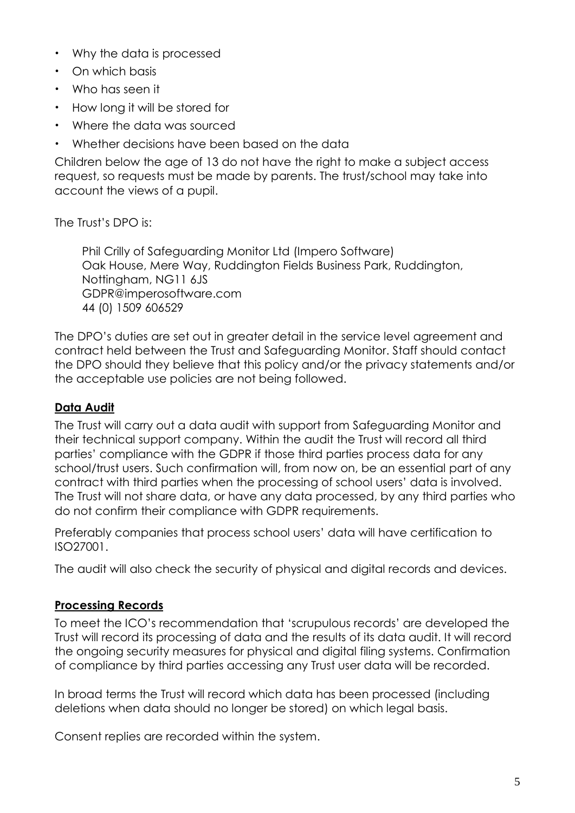- Why the data is processed
- On which basis
- Who has seen it
- How long it will be stored for
- Where the data was sourced
- Whether decisions have been based on the data

Children below the age of 13 do not have the right to make a subject access request, so requests must be made by parents. The trust/school may take into account the views of a pupil.

The Trust's DPO is:

Phil Crilly of Safeguarding Monitor Ltd (Impero Software) Oak House, Mere Way, Ruddington Fields Business Park, Ruddington, Nottingham, NG11 6JS [GDPR@imperosoftware.com](mailto:GDPR@imperosoftware.com) 44 (0) 1509 606529

The DPO's duties are set out in greater detail in the service level agreement and contract held between the Trust and Safeguarding Monitor. Staff should contact the DPO should they believe that this policy and/or the privacy statements and/or the acceptable use policies are not being followed.

## **Data Audit**

The Trust will carry out a data audit with support from Safeguarding Monitor and their technical support company. Within the audit the Trust will record all third parties' compliance with the GDPR if those third parties process data for any school/trust users. Such confirmation will, from now on, be an essential part of any contract with third parties when the processing of school users' data is involved. The Trust will not share data, or have any data processed, by any third parties who do not confirm their compliance with GDPR requirements.

Preferably companies that process school users' data will have certification to ISO27001.

The audit will also check the security of physical and digital records and devices.

## **Processing Records**

To meet the ICO's recommendation that 'scrupulous records' are developed the Trust will record its processing of data and the results of its data audit. It will record the ongoing security measures for physical and digital filing systems. Confirmation of compliance by third parties accessing any Trust user data will be recorded.

In broad terms the Trust will record which data has been processed (including deletions when data should no longer be stored) on which legal basis.

Consent replies are recorded within the system.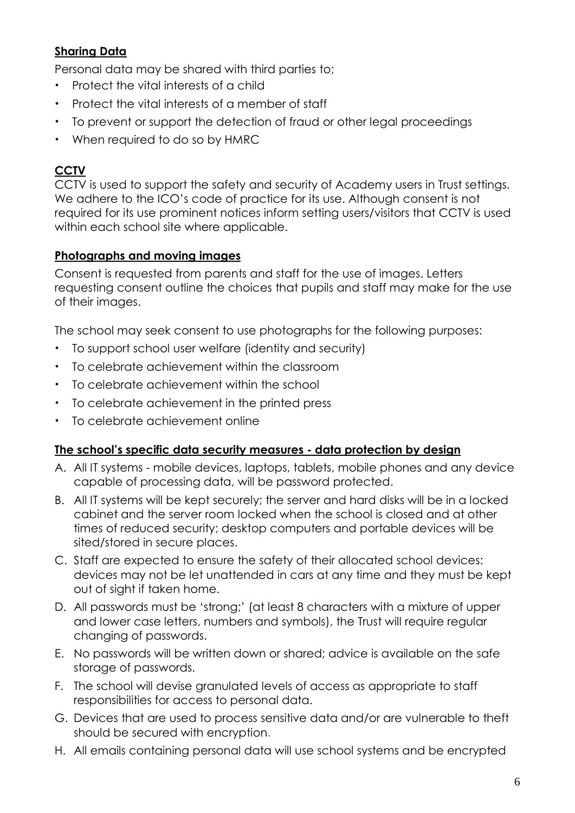# **Sharing Data**

Personal data may be shared with third parties to;

- Protect the vital interests of a child
- Protect the vital interests of a member of staff
- To prevent or support the detection of fraud or other legal proceedings
- When required to do so by HMRC

# **CCTV**

CCTV is used to support the safety and security of Academy users in Trust settings. We adhere to the ICO's code of practice for its use. Although consent is not required for its use prominent notices inform setting users/visitors that CCTV is used within each school site where applicable.

## **Photographs and moving images**

Consent is requested from parents and staff for the use of images. Letters requesting consent outline the choices that pupils and staff may make for the use of their images.

The school may seek consent to use photographs for the following purposes:

- To support school user welfare (identity and security)
- To celebrate achievement within the classroom
- To celebrate achievement within the school
- To celebrate achievement in the printed press
- To celebrate achievement online

## **The school's specific data security measures - data protection by design**

- A. All IT systems mobile devices, laptops, tablets, mobile phones and any device capable of processing data, will be password protected.
- B. All IT systems will be kept securely; the server and hard disks will be in a locked cabinet and the server room locked when the school is closed and at other times of reduced security; desktop computers and portable devices will be sited/stored in secure places.
- C. Staff are expected to ensure the safety of their allocated school devices: devices may not be let unattended in cars at any time and they must be kept out of sight if taken home.
- D. All passwords must be 'strong;' (at least 8 characters with a mixture of upper and lower case letters, numbers and symbols), the Trust will require regular changing of passwords.
- E. No passwords will be written down or shared; advice is available on the safe storage of passwords.
- F. The school will devise granulated levels of access as appropriate to staff responsibilities for access to personal data.
- G. Devices that are used to process sensitive data and/or are vulnerable to theft should be secured with encryption**.**
- H. All emails containing personal data will use school systems and be encrypted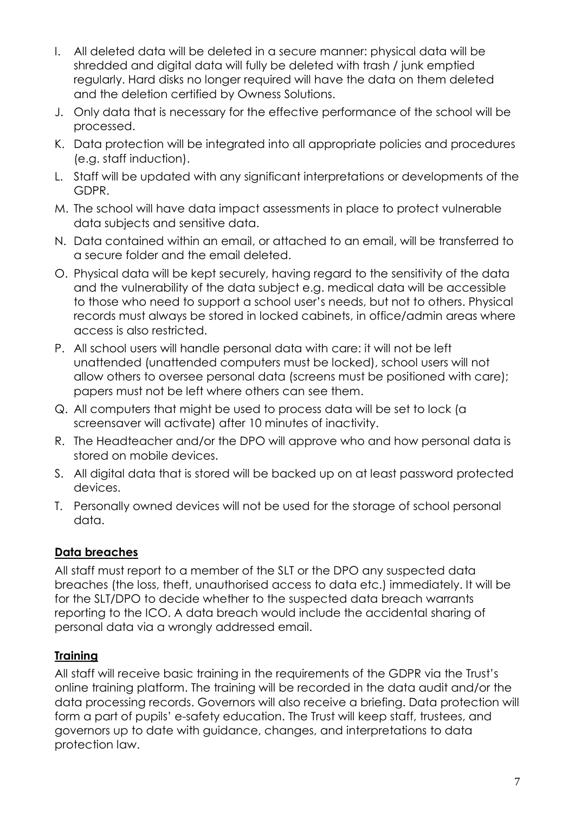- I. All deleted data will be deleted in a secure manner: physical data will be shredded and digital data will fully be deleted with trash / junk emptied regularly. Hard disks no longer required will have the data on them deleted and the deletion certified by Owness Solutions.
- J. Only data that is necessary for the effective performance of the school will be processed.
- K. Data protection will be integrated into all appropriate policies and procedures (e.g. staff induction).
- L. Staff will be updated with any significant interpretations or developments of the GDPR.
- M. The school will have data impact assessments in place to protect vulnerable data subjects and sensitive data.
- N. Data contained within an email, or attached to an email, will be transferred to a secure folder and the email deleted.
- O. Physical data will be kept securely, having regard to the sensitivity of the data and the vulnerability of the data subject e.g. medical data will be accessible to those who need to support a school user's needs, but not to others. Physical records must always be stored in locked cabinets, in office/admin areas where access is also restricted.
- P. All school users will handle personal data with care: it will not be left unattended (unattended computers must be locked), school users will not allow others to oversee personal data (screens must be positioned with care); papers must not be left where others can see them.
- Q. All computers that might be used to process data will be set to lock (a screensaver will activate) after 10 minutes of inactivity.
- R. The Headteacher and/or the DPO will approve who and how personal data is stored on mobile devices.
- S. All digital data that is stored will be backed up on at least password protected devices.
- T. Personally owned devices will not be used for the storage of school personal data.

# **Data breaches**

All staff must report to a member of the SLT or the DPO any suspected data breaches (the loss, theft, unauthorised access to data etc.) immediately. It will be for the SLT/DPO to decide whether to the suspected data breach warrants reporting to the ICO. A data breach would include the accidental sharing of personal data via a wrongly addressed email.

# **Training**

All staff will receive basic training in the requirements of the GDPR via the Trust's online training platform. The training will be recorded in the data audit and/or the data processing records. Governors will also receive a briefing. Data protection will form a part of pupils' e-safety education. The Trust will keep staff, trustees, and governors up to date with guidance, changes, and interpretations to data protection law.